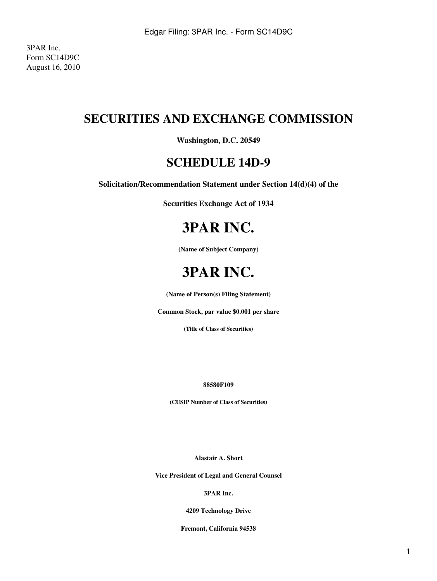3PAR Inc. Form SC14D9C August 16, 2010

## **SECURITIES AND EXCHANGE COMMISSION**

**Washington, D.C. 20549**

### **SCHEDULE 14D-9**

**Solicitation/Recommendation Statement under Section 14(d)(4) of the**

**Securities Exchange Act of 1934**

# **3PAR INC.**

**(Name of Subject Company)**

# **3PAR INC.**

**(Name of Person(s) Filing Statement)**

**Common Stock, par value \$0.001 per share**

**(Title of Class of Securities)**

**88580F109**

**(CUSIP Number of Class of Securities)**

**Alastair A. Short**

**Vice President of Legal and General Counsel**

**3PAR Inc.**

**4209 Technology Drive**

**Fremont, California 94538**